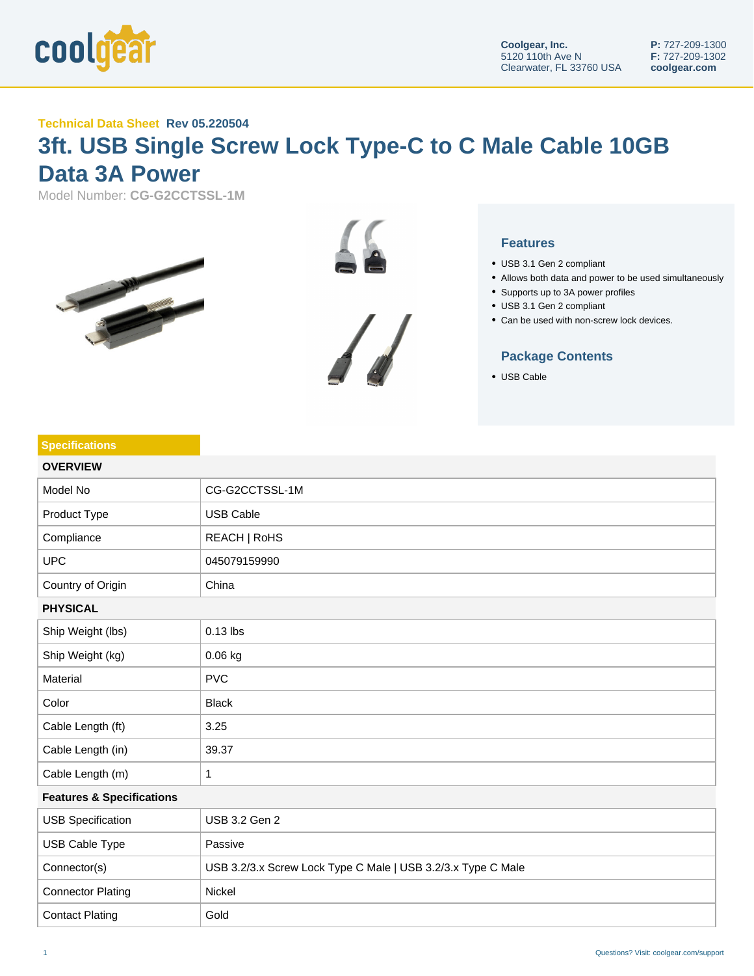

## **Technical Data Sheet Rev 05.220504**

## **3ft. USB Single Screw Lock Type-C to C Male Cable 10GB Data 3A Power**

Model Number: **CG-G2CCTSSL-1M**







- USB 3.1 Gen 2 compliant
- Allows both data and power to be used simultaneously
- Supports up to 3A power profiles
- USB 3.1 Gen 2 compliant
- Can be used with non-screw lock devices.

## **Package Contents**

USB Cable

| <b>Specifications</b>                |                                                              |  |
|--------------------------------------|--------------------------------------------------------------|--|
| <b>OVERVIEW</b>                      |                                                              |  |
| Model No                             | CG-G2CCTSSL-1M                                               |  |
| Product Type                         | <b>USB Cable</b>                                             |  |
| Compliance                           | REACH   RoHS                                                 |  |
| <b>UPC</b>                           | 045079159990                                                 |  |
| Country of Origin                    | China                                                        |  |
| <b>PHYSICAL</b>                      |                                                              |  |
| Ship Weight (lbs)                    | $0.13$ lbs                                                   |  |
| Ship Weight (kg)                     | 0.06 kg                                                      |  |
| Material                             | <b>PVC</b>                                                   |  |
| Color                                | <b>Black</b>                                                 |  |
| Cable Length (ft)                    | 3.25                                                         |  |
| Cable Length (in)                    | 39.37                                                        |  |
| Cable Length (m)                     | 1                                                            |  |
| <b>Features &amp; Specifications</b> |                                                              |  |
| <b>USB Specification</b>             | USB 3.2 Gen 2                                                |  |
| USB Cable Type                       | Passive                                                      |  |
| Connector(s)                         | USB 3.2/3.x Screw Lock Type C Male   USB 3.2/3.x Type C Male |  |
| <b>Connector Plating</b>             | Nickel                                                       |  |
| <b>Contact Plating</b>               | Gold                                                         |  |